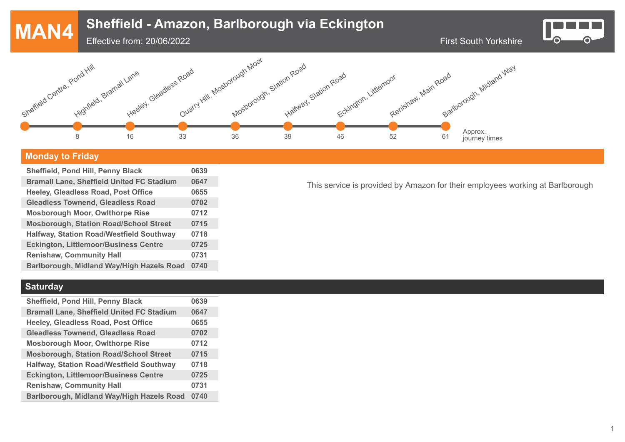# **MAN4** First South Yorkshire **Sheffield - Amazon, Barlborough via Eckington** Effective from: 20/06/2022  $\bullet$ Quarry Hill, Mosborough Moor Mosborough, Station Road Sheffield Centre, Pond Hill Barlborough, Midland Way



## **Monday to Friday**

| <b>Sheffield, Pond Hill, Penny Black</b>         | 0639 |
|--------------------------------------------------|------|
| <b>Bramall Lane, Sheffield United FC Stadium</b> | 0647 |
| Heeley, Gleadless Road, Post Office              | 0655 |
| <b>Gleadless Townend, Gleadless Road</b>         | 0702 |
| <b>Mosborough Moor, Owlthorpe Rise</b>           | 0712 |
| <b>Mosborough, Station Road/School Street</b>    | 0715 |
| <b>Halfway, Station Road/Westfield Southway</b>  | 0718 |
| <b>Eckington, Littlemoor/Business Centre</b>     | 0725 |
| <b>Renishaw, Community Hall</b>                  | 0731 |
| Barlborough, Midland Way/High Hazels Road        | 0740 |
|                                                  |      |

**Saturday**

| <b>Sheffield, Pond Hill, Penny Black</b>         | 0639 |
|--------------------------------------------------|------|
| <b>Bramall Lane, Sheffield United FC Stadium</b> | 0647 |
| Heeley, Gleadless Road, Post Office              | 0655 |
| <b>Gleadless Townend, Gleadless Road</b>         | 0702 |
| <b>Mosborough Moor, Owlthorpe Rise</b>           | 0712 |
| <b>Mosborough, Station Road/School Street</b>    | 0715 |
| <b>Halfway, Station Road/Westfield Southway</b>  | 0718 |
| <b>Eckington, Littlemoor/Business Centre</b>     | 0725 |
| <b>Renishaw, Community Hall</b>                  | 0731 |
| Barlborough, Midland Way/High Hazels Road        | 0740 |
|                                                  |      |

This service is provided by Amazon for their employees working at Barlborough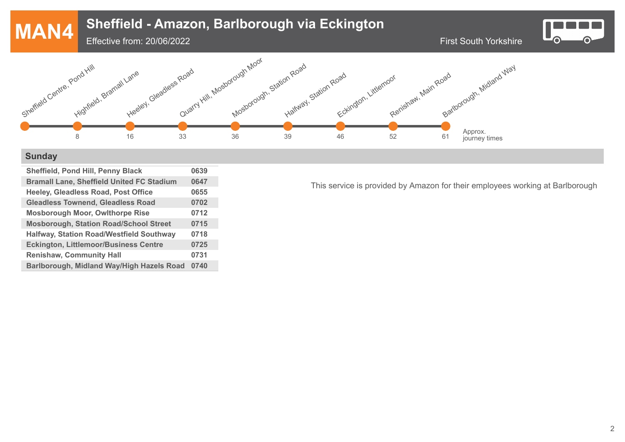

#### **Sunday**

| <b>Sheffield, Pond Hill, Penny Black</b>         | 0639 |
|--------------------------------------------------|------|
| <b>Bramall Lane, Sheffield United FC Stadium</b> | 0647 |
| Heeley, Gleadless Road, Post Office              | 0655 |
| <b>Gleadless Townend, Gleadless Road</b>         | 0702 |
| <b>Mosborough Moor, Owlthorpe Rise</b>           | 0712 |
| <b>Mosborough, Station Road/School Street</b>    | 0715 |
| <b>Halfway, Station Road/Westfield Southway</b>  | 0718 |
| <b>Eckington, Littlemoor/Business Centre</b>     | 0725 |
| <b>Renishaw, Community Hall</b>                  | 0731 |
| Barlborough, Midland Way/High Hazels Road        | 0740 |
|                                                  |      |

This service is provided by Amazon for their employees working at Barlborough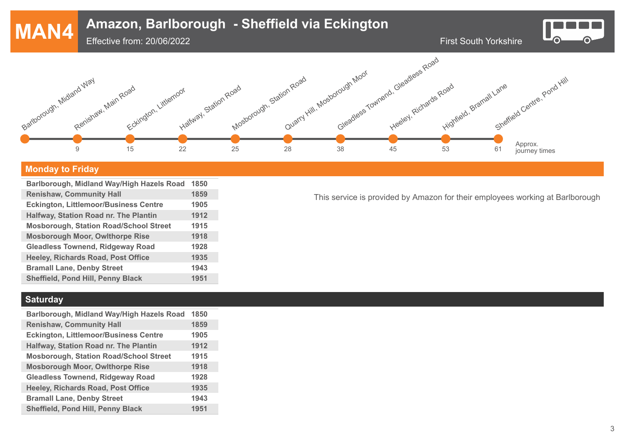

#### **Monday to Friday**

| Barlborough, Midland Way/High Hazels Road     | 1850 |
|-----------------------------------------------|------|
| <b>Renishaw, Community Hall</b>               | 1859 |
| <b>Eckington, Littlemoor/Business Centre</b>  | 1905 |
| Halfway, Station Road nr. The Plantin         | 1912 |
| <b>Mosborough, Station Road/School Street</b> | 1915 |
| <b>Mosborough Moor, Owlthorpe Rise</b>        | 1918 |
| <b>Gleadless Townend, Ridgeway Road</b>       | 1928 |
| Heeley, Richards Road, Post Office            | 1935 |
| <b>Bramall Lane, Denby Street</b>             | 1943 |
| <b>Sheffield, Pond Hill, Penny Black</b>      | 1951 |

This service is provided by Amazon for their employees working at Barlborough

### **Saturday**

| Barlborough, Midland Way/High Hazels Road     | 1850 |
|-----------------------------------------------|------|
| <b>Renishaw, Community Hall</b>               | 1859 |
| <b>Eckington, Littlemoor/Business Centre</b>  | 1905 |
| Halfway, Station Road nr. The Plantin         | 1912 |
| <b>Mosborough, Station Road/School Street</b> | 1915 |
| <b>Mosborough Moor, Owlthorpe Rise</b>        | 1918 |
| <b>Gleadless Townend, Ridgeway Road</b>       | 1928 |
| <b>Heeley, Richards Road, Post Office</b>     | 1935 |
| <b>Bramall Lane, Denby Street</b>             | 1943 |
| <b>Sheffield, Pond Hill, Penny Black</b>      | 1951 |